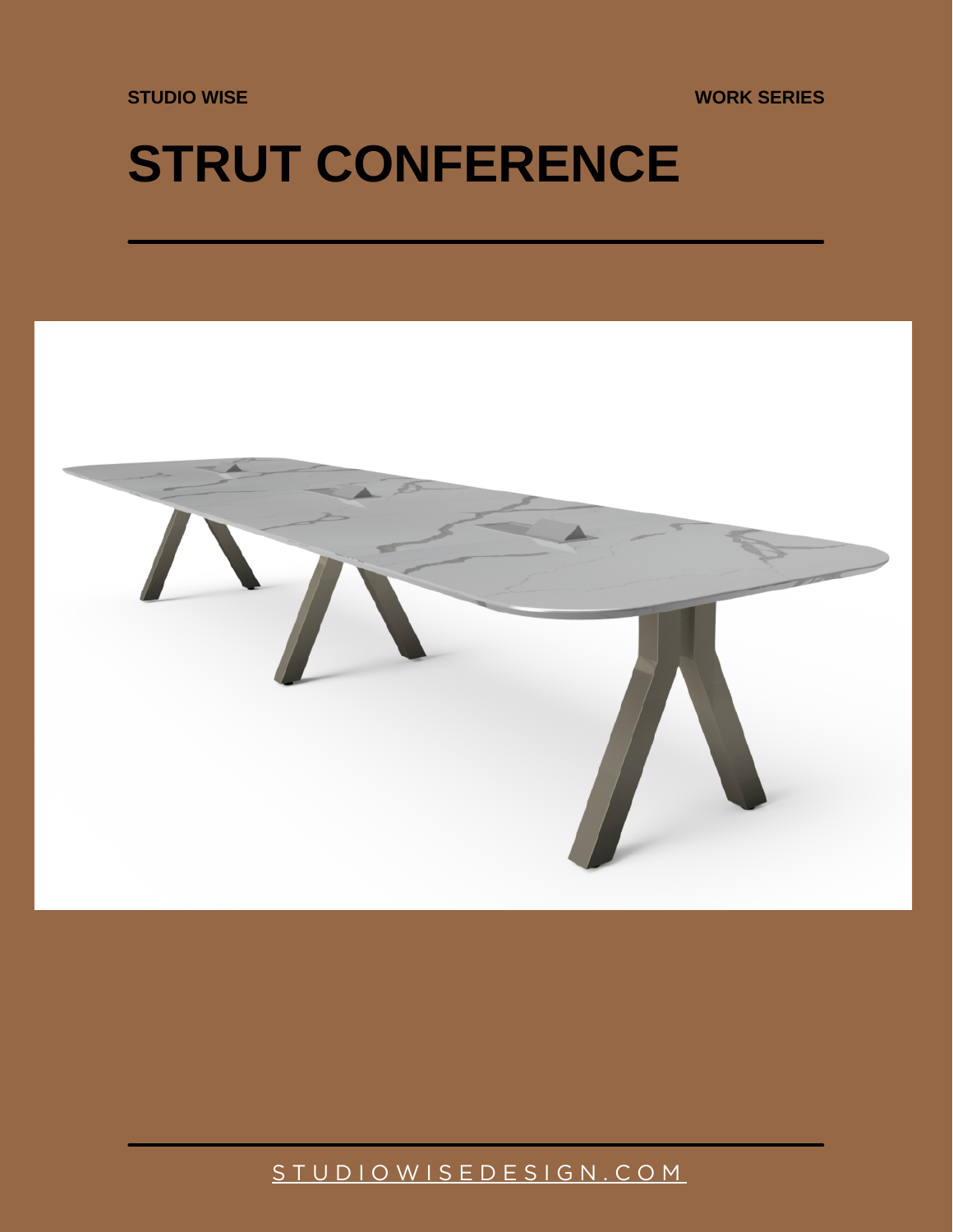**STUDIO WISE**

**WORK SERIES**

## **STRUT CONFERENCE**



[S T U D I O W I S E D E S I G N . C O M](https://studiowisedesign.com/)